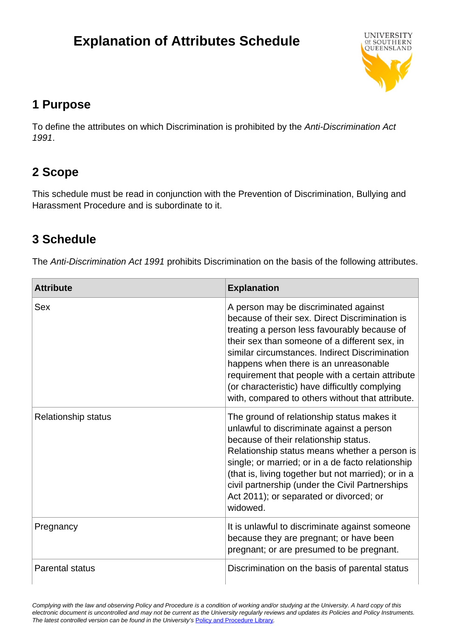# **Explanation of Attributes Schedule**



## **1 Purpose**

To define the attributes on which Discrimination is prohibited by the Anti-Discrimination Act 1991.

# **2 Scope**

This schedule must be read in conjunction with the Prevention of Discrimination, Bullying and Harassment Procedure and is subordinate to it.

# **3 Schedule**

The Anti-Discrimination Act 1991 prohibits Discrimination on the basis of the following attributes.

| <b>Attribute</b>           | <b>Explanation</b>                                                                                                                                                                                                                                                                                                                                                                                                                            |  |
|----------------------------|-----------------------------------------------------------------------------------------------------------------------------------------------------------------------------------------------------------------------------------------------------------------------------------------------------------------------------------------------------------------------------------------------------------------------------------------------|--|
| Sex                        | A person may be discriminated against<br>because of their sex. Direct Discrimination is<br>treating a person less favourably because of<br>their sex than someone of a different sex, in<br>similar circumstances. Indirect Discrimination<br>happens when there is an unreasonable<br>requirement that people with a certain attribute<br>(or characteristic) have difficultly complying<br>with, compared to others without that attribute. |  |
| <b>Relationship status</b> | The ground of relationship status makes it<br>unlawful to discriminate against a person<br>because of their relationship status.<br>Relationship status means whether a person is<br>single; or married; or in a de facto relationship<br>(that is, living together but not married); or in a<br>civil partnership (under the Civil Partnerships<br>Act 2011); or separated or divorced; or<br>widowed.                                       |  |
| Pregnancy                  | It is unlawful to discriminate against someone<br>because they are pregnant; or have been<br>pregnant; or are presumed to be pregnant.                                                                                                                                                                                                                                                                                                        |  |
| <b>Parental status</b>     | Discrimination on the basis of parental status                                                                                                                                                                                                                                                                                                                                                                                                |  |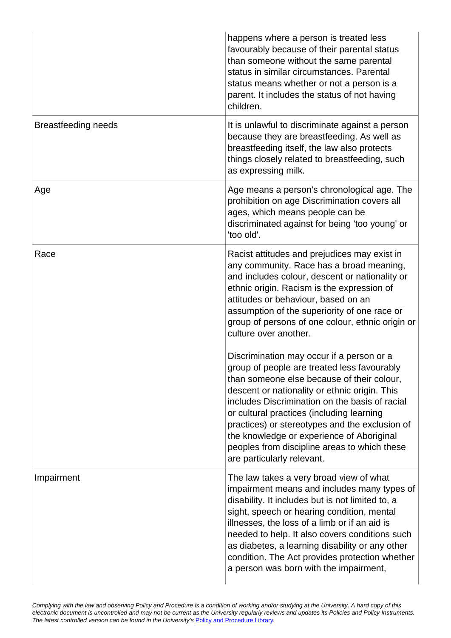|                            | happens where a person is treated less<br>favourably because of their parental status<br>than someone without the same parental<br>status in similar circumstances. Parental<br>status means whether or not a person is a<br>parent. It includes the status of not having<br>children.                                                                                                                                                                              |  |
|----------------------------|---------------------------------------------------------------------------------------------------------------------------------------------------------------------------------------------------------------------------------------------------------------------------------------------------------------------------------------------------------------------------------------------------------------------------------------------------------------------|--|
| <b>Breastfeeding needs</b> | It is unlawful to discriminate against a person<br>because they are breastfeeding. As well as<br>breastfeeding itself, the law also protects<br>things closely related to breastfeeding, such<br>as expressing milk.                                                                                                                                                                                                                                                |  |
| Age                        | Age means a person's chronological age. The<br>prohibition on age Discrimination covers all<br>ages, which means people can be<br>discriminated against for being 'too young' or<br>'too old'.                                                                                                                                                                                                                                                                      |  |
| Race                       | Racist attitudes and prejudices may exist in<br>any community. Race has a broad meaning,<br>and includes colour, descent or nationality or<br>ethnic origin. Racism is the expression of<br>attitudes or behaviour, based on an<br>assumption of the superiority of one race or<br>group of persons of one colour, ethnic origin or<br>culture over another.                                                                                                        |  |
|                            | Discrimination may occur if a person or a<br>group of people are treated less favourably<br>than someone else because of their colour,<br>descent or nationality or ethnic origin. This<br>includes Discrimination on the basis of racial<br>or cultural practices (including learning<br>practices) or stereotypes and the exclusion of<br>the knowledge or experience of Aboriginal<br>peoples from discipline areas to which these<br>are particularly relevant. |  |
| Impairment                 | The law takes a very broad view of what<br>impairment means and includes many types of<br>disability. It includes but is not limited to, a<br>sight, speech or hearing condition, mental<br>illnesses, the loss of a limb or if an aid is<br>needed to help. It also covers conditions such<br>as diabetes, a learning disability or any other<br>condition. The Act provides protection whether<br>a person was born with the impairment,                          |  |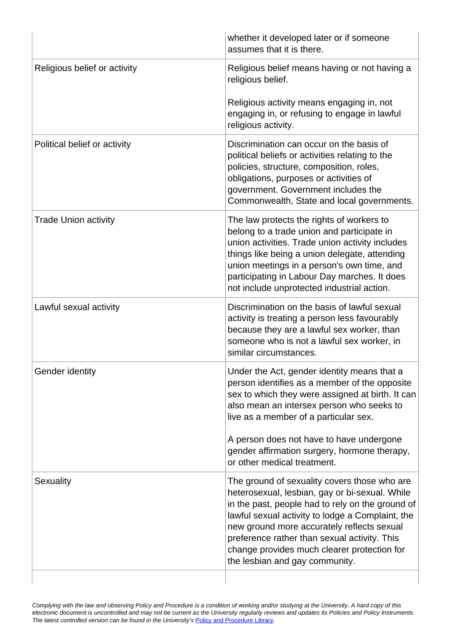|                              | whether it developed later or if someone<br>assumes that it is there.                                                                                                                                                                                                                                                                                             |  |
|------------------------------|-------------------------------------------------------------------------------------------------------------------------------------------------------------------------------------------------------------------------------------------------------------------------------------------------------------------------------------------------------------------|--|
| Religious belief or activity | Religious belief means having or not having a<br>religious belief.<br>Religious activity means engaging in, not                                                                                                                                                                                                                                                   |  |
|                              | engaging in, or refusing to engage in lawful<br>religious activity.                                                                                                                                                                                                                                                                                               |  |
| Political belief or activity | Discrimination can occur on the basis of<br>political beliefs or activities relating to the<br>policies, structure, composition, roles,<br>obligations, purposes or activities of<br>government. Government includes the<br>Commonwealth, State and local governments.                                                                                            |  |
| <b>Trade Union activity</b>  | The law protects the rights of workers to<br>belong to a trade union and participate in<br>union activities. Trade union activity includes<br>things like being a union delegate, attending<br>union meetings in a person's own time, and<br>participating in Labour Day marches. It does<br>not include unprotected industrial action.                           |  |
| Lawful sexual activity       | Discrimination on the basis of lawful sexual<br>activity is treating a person less favourably<br>because they are a lawful sex worker, than<br>someone who is not a lawful sex worker, in<br>similar circumstances.                                                                                                                                               |  |
| Gender identity              | Under the Act, gender identity means that a<br>person identifies as a member of the opposite<br>sex to which they were assigned at birth. It can<br>also mean an intersex person who seeks to<br>live as a member of a particular sex.<br>A person does not have to have undergone<br>gender affirmation surgery, hormone therapy,<br>or other medical treatment. |  |
| Sexuality                    | The ground of sexuality covers those who are                                                                                                                                                                                                                                                                                                                      |  |
|                              | heterosexual, lesbian, gay or bi-sexual. While<br>in the past, people had to rely on the ground of<br>lawful sexual activity to lodge a Complaint, the<br>new ground more accurately reflects sexual<br>preference rather than sexual activity. This<br>change provides much clearer protection for<br>the lesbian and gay community.                             |  |

 $\overline{\phantom{a}}$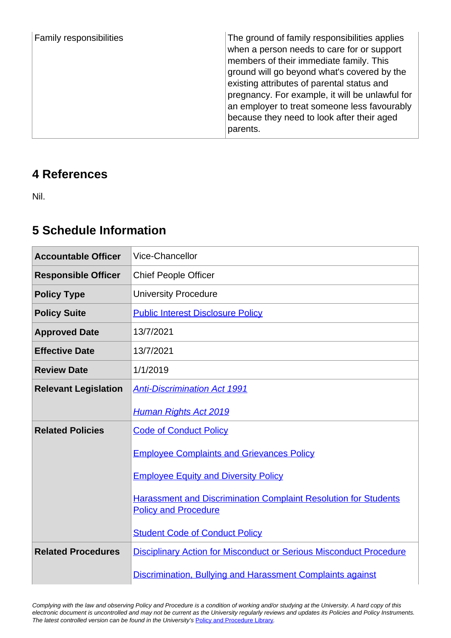| <b>Family responsibilities</b> | The ground of family responsibilities applies<br>when a person needs to care for or support<br>members of their immediate family. This<br>ground will go beyond what's covered by the<br>existing attributes of parental status and<br>pregnancy. For example, it will be unlawful for<br>an employer to treat someone less favourably<br>because they need to look after their aged<br>parents. |
|--------------------------------|--------------------------------------------------------------------------------------------------------------------------------------------------------------------------------------------------------------------------------------------------------------------------------------------------------------------------------------------------------------------------------------------------|
|--------------------------------|--------------------------------------------------------------------------------------------------------------------------------------------------------------------------------------------------------------------------------------------------------------------------------------------------------------------------------------------------------------------------------------------------|

# **4 References**

Nil.

## **5 Schedule Information**

| <b>Accountable Officer</b>  | <b>Vice-Chancellor</b>                                                                                |  |
|-----------------------------|-------------------------------------------------------------------------------------------------------|--|
| <b>Responsible Officer</b>  | <b>Chief People Officer</b>                                                                           |  |
| <b>Policy Type</b>          | <b>University Procedure</b>                                                                           |  |
| <b>Policy Suite</b>         | <b>Public Interest Disclosure Policy</b>                                                              |  |
| <b>Approved Date</b>        | 13/7/2021                                                                                             |  |
| <b>Effective Date</b>       | 13/7/2021                                                                                             |  |
| <b>Review Date</b>          | 1/1/2019                                                                                              |  |
| <b>Relevant Legislation</b> | <b>Anti-Discrimination Act 1991</b>                                                                   |  |
|                             | <b>Human Rights Act 2019</b>                                                                          |  |
| <b>Related Policies</b>     | <b>Code of Conduct Policy</b>                                                                         |  |
|                             | <b>Employee Complaints and Grievances Policy</b>                                                      |  |
|                             | <b>Employee Equity and Diversity Policy</b>                                                           |  |
|                             | <b>Harassment and Discrimination Complaint Resolution for Students</b><br><b>Policy and Procedure</b> |  |
|                             | <b>Student Code of Conduct Policy</b>                                                                 |  |
| <b>Related Procedures</b>   | <b>Disciplinary Action for Misconduct or Serious Misconduct Procedure</b>                             |  |
|                             | <b>Discrimination, Bullying and Harassment Complaints against</b>                                     |  |

[Complying with the law and observing Policy and Procedure is a condition of working and/or studying at the University. A hard copy of this](https://policy.usq.edu.au/documents/13301PL) [electronic document is uncontrolled and may not be current as the University regularly reviews and updates its Policies and Policy Instruments.](https://policy.usq.edu.au/documents/13301PL) [The latest controlled version can be found in the University's](https://policy.usq.edu.au/documents/13301PL) [Policy and Procedure Library](https://policy.usq.edu.au/).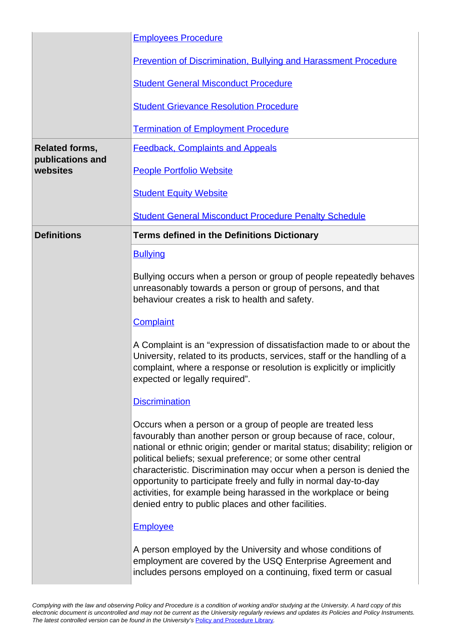|                                           | <b>Employees Procedure</b><br><b>Prevention of Discrimination, Bullying and Harassment Procedure</b><br><b>Student General Misconduct Procedure</b>                                                                                                                                                                                                                                                                                                                                                                                                  |  |
|-------------------------------------------|------------------------------------------------------------------------------------------------------------------------------------------------------------------------------------------------------------------------------------------------------------------------------------------------------------------------------------------------------------------------------------------------------------------------------------------------------------------------------------------------------------------------------------------------------|--|
|                                           |                                                                                                                                                                                                                                                                                                                                                                                                                                                                                                                                                      |  |
|                                           |                                                                                                                                                                                                                                                                                                                                                                                                                                                                                                                                                      |  |
|                                           | <b>Student Grievance Resolution Procedure</b>                                                                                                                                                                                                                                                                                                                                                                                                                                                                                                        |  |
|                                           | <b>Termination of Employment Procedure</b>                                                                                                                                                                                                                                                                                                                                                                                                                                                                                                           |  |
| <b>Related forms,</b><br>publications and | <b>Feedback, Complaints and Appeals</b>                                                                                                                                                                                                                                                                                                                                                                                                                                                                                                              |  |
| websites                                  | <b>People Portfolio Website</b>                                                                                                                                                                                                                                                                                                                                                                                                                                                                                                                      |  |
|                                           | <b>Student Equity Website</b>                                                                                                                                                                                                                                                                                                                                                                                                                                                                                                                        |  |
|                                           | <b>Student General Misconduct Procedure Penalty Schedule</b>                                                                                                                                                                                                                                                                                                                                                                                                                                                                                         |  |
| <b>Definitions</b>                        | <b>Terms defined in the Definitions Dictionary</b>                                                                                                                                                                                                                                                                                                                                                                                                                                                                                                   |  |
|                                           | <b>Bullying</b>                                                                                                                                                                                                                                                                                                                                                                                                                                                                                                                                      |  |
|                                           | Bullying occurs when a person or group of people repeatedly behaves<br>unreasonably towards a person or group of persons, and that<br>behaviour creates a risk to health and safety.                                                                                                                                                                                                                                                                                                                                                                 |  |
|                                           | <b>Complaint</b>                                                                                                                                                                                                                                                                                                                                                                                                                                                                                                                                     |  |
|                                           | A Complaint is an "expression of dissatisfaction made to or about the<br>University, related to its products, services, staff or the handling of a<br>complaint, where a response or resolution is explicitly or implicitly<br>expected or legally required".                                                                                                                                                                                                                                                                                        |  |
|                                           | <b>Discrimination</b>                                                                                                                                                                                                                                                                                                                                                                                                                                                                                                                                |  |
|                                           | Occurs when a person or a group of people are treated less<br>favourably than another person or group because of race, colour,<br>national or ethnic origin; gender or marital status; disability; religion or<br>political beliefs; sexual preference; or some other central<br>characteristic. Discrimination may occur when a person is denied the<br>opportunity to participate freely and fully in normal day-to-day<br>activities, for example being harassed in the workplace or being<br>denied entry to public places and other facilities. |  |
|                                           | <b>Employee</b>                                                                                                                                                                                                                                                                                                                                                                                                                                                                                                                                      |  |
|                                           | A person employed by the University and whose conditions of<br>employment are covered by the USQ Enterprise Agreement and<br>includes persons employed on a continuing, fixed term or casual                                                                                                                                                                                                                                                                                                                                                         |  |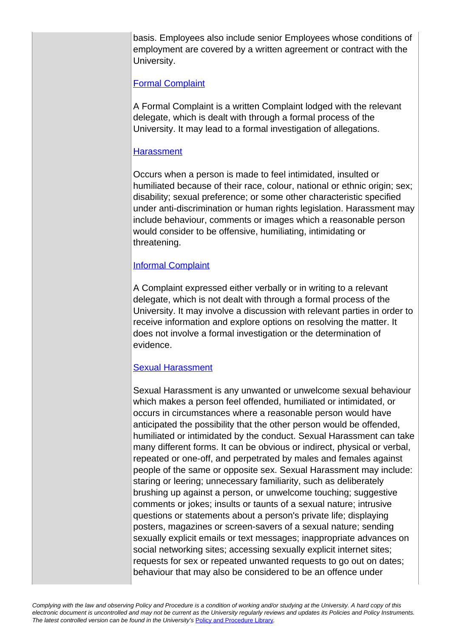basis. Employees also include senior Employees whose conditions of employment are covered by a written agreement or contract with the University.

### [Formal Complaint](https://policy.usq.edu.au/documents/151869PL)

A Formal Complaint is a written Complaint lodged with the relevant delegate, which is dealt with through a formal process of the University. It may lead to a formal investigation of allegations.

#### **[Harassment](https://policy.usq.edu.au/documents/153716PL)**

Occurs when a person is made to feel intimidated, insulted or humiliated because of their race, colour, national or ethnic origin; sex; disability; sexual preference; or some other characteristic specified under anti-discrimination or human rights legislation. Harassment may include behaviour, comments or images which a reasonable person would consider to be offensive, humiliating, intimidating or threatening.

#### [Informal Complaint](https://policy.usq.edu.au/documents/151870PL)

A Complaint expressed either verbally or in writing to a relevant delegate, which is not dealt with through a formal process of the University. It may involve a discussion with relevant parties in order to receive information and explore options on resolving the matter. It does not involve a formal investigation or the determination of evidence.

### [Sexual Harassment](https://policy.usq.edu.au/documents/153715PL)

Sexual Harassment is any unwanted or unwelcome sexual behaviour which makes a person feel offended, humiliated or intimidated, or occurs in circumstances where a reasonable person would have anticipated the possibility that the other person would be offended, humiliated or intimidated by the conduct. Sexual Harassment can take many different forms. It can be obvious or indirect, physical or verbal, repeated or one-off, and perpetrated by males and females against people of the same or opposite sex. Sexual Harassment may include: staring or leering; unnecessary familiarity, such as deliberately brushing up against a person, or unwelcome touching; suggestive comments or jokes; insults or taunts of a sexual nature; intrusive questions or statements about a person's private life; displaying posters, magazines or screen-savers of a sexual nature; sending sexually explicit emails or text messages; inappropriate advances on social networking sites; accessing sexually explicit internet sites; requests for sex or repeated unwanted requests to go out on dates; behaviour that may also be considered to be an offence under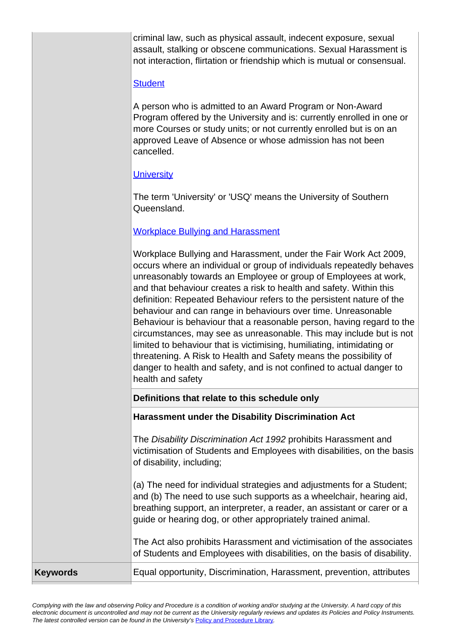criminal law, such as physical assault, indecent exposure, sexual assault, stalking or obscene communications. Sexual Harassment is not interaction, flirtation or friendship which is mutual or consensual.

### **[Student](https://policy.usq.edu.au/documents/14294PL)**

A person who is admitted to an Award Program or Non-Award Program offered by the University and is: currently enrolled in one or more Courses or study units; or not currently enrolled but is on an approved Leave of Absence or whose admission has not been cancelled.

### **[University](https://policy.usq.edu.au/documents/14313PL)**

The term 'University' or 'USQ' means the University of Southern Queensland.

#### [Workplace Bullying and Harassment](https://policy.usq.edu.au/documents/152051PL)

Workplace Bullying and Harassment, under the Fair Work Act 2009, occurs where an individual or group of individuals repeatedly behaves unreasonably towards an Employee or group of Employees at work, and that behaviour creates a risk to health and safety. Within this definition: Repeated Behaviour refers to the persistent nature of the behaviour and can range in behaviours over time. Unreasonable Behaviour is behaviour that a reasonable person, having regard to the circumstances, may see as unreasonable. This may include but is not limited to behaviour that is victimising, humiliating, intimidating or threatening. A Risk to Health and Safety means the possibility of danger to health and safety, and is not confined to actual danger to health and safety

**Definitions that relate to this schedule only**

**Harassment under the Disability Discrimination Act**

The Disability Discrimination Act 1992 prohibits Harassment and victimisation of Students and Employees with disabilities, on the basis of disability, including;

(a) The need for individual strategies and adjustments for a Student; and (b) The need to use such supports as a wheelchair, hearing aid, breathing support, an interpreter, a reader, an assistant or carer or a guide or hearing dog, or other appropriately trained animal.

The Act also prohibits Harassment and victimisation of the associates of Students and Employees with disabilities, on the basis of disability.

**Keywords** Equal opportunity, Discrimination, Harassment, prevention, attributes